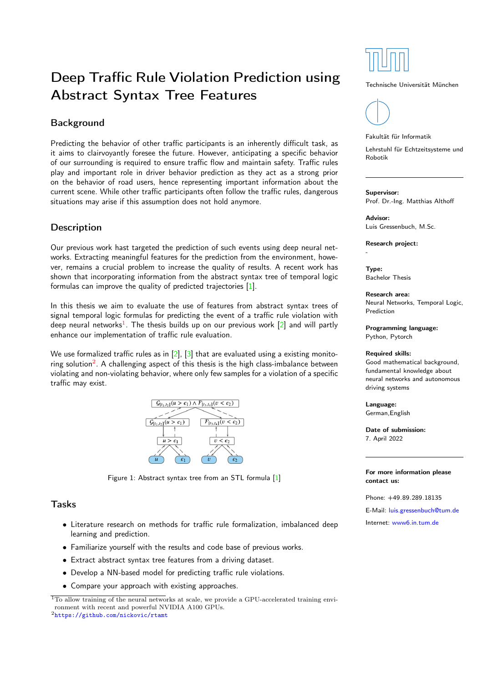# Deep Traffic Rule Violation Prediction using Abstract Syntax Tree Features

## Background

Predicting the behavior of other traffic participants is an inherently difficult task, as it aims to clairvoyantly foresee the future. However, anticipating a specific behavior of our surrounding is required to ensure traffic flow and maintain safety. Traffic rules play and important role in driver behavior prediction as they act as a strong prior on the behavior of road users, hence representing important information about the current scene. While other traffic participants often follow the traffic rules, dangerous situations may arise if this assumption does not hold anymore.

## **Description**

Our previous work hast targeted the prediction of such events using deep neural networks. Extracting meaningful features for the prediction from the environment, however, remains a crucial problem to increase the quality of results. A recent work has shown that incorporating information from the abstract syntax tree of temporal logic formulas can improve the quality of predicted trajectories [\[1\]](#page-1-0).

In this thesis we aim to evaluate the use of features from abstract syntax trees of signal temporal logic formulas for predicting the event of a traffic rule violation with deep neural networks $^1$  $^1$ . The thesis builds up on our previous work  $[2]$  and will partly enhance our implementation of traffic rule evaluation.

We use formalized traffic rules as in  $[2]$ ,  $[3]$  that are evaluated using a existing monitoring solution $^2$  $^2$ . A challenging aspect of this thesis is the high class-imbalance between violating and non-violating behavior, where only few samples for a violation of a specific traffic may exist.



Figure 1: Abstract syntax tree from an STL formula [\[1\]](#page-1-0)

#### Tasks

- Literature research on methods for traffic rule formalization, imbalanced deep learning and prediction.
- Familiarize yourself with the results and code base of previous works.
- Extract abstract syntax tree features from a driving dataset.
- Develop a NN-based model for predicting traffic rule violations.
- Compare your approach with existing approaches.

<span id="page-0-1"></span><sup>2</sup><https://github.com/nickovic/rtamt>



Technische Universität München



Fakultät für Informatik

Lehrstuhl für Echtzeitsysteme und Robotik

#### Supervisor:

Prof. Dr.-Ing. Matthias Althoff

Advisor: Luis Gressenbuch, M.Sc.

Research project:

Type: Bachelor Thesis

-

Research area: Neural Networks, Temporal Logic, Prediction

Programming language: Python, Pytorch

#### Required skills:

Good mathematical background, fundamental knowledge about neural networks and autonomous driving systems

Language: German,English

Date of submission: 7. April 2022

For more information please contact us:

Phone: +49.89.289.18135

E-Mail: [luis.gressenbuch@tum.de](mailto:luis.gressenbuch@tum.de)

Internet: [www6.in.tum.de](http://www6.in.tum.de/)

<span id="page-0-0"></span> $\overline{^{1}}$ To allow training of the neural networks at scale, we provide a GPU-accelerated training environment with recent and powerful NVIDIA A100 GPUs.